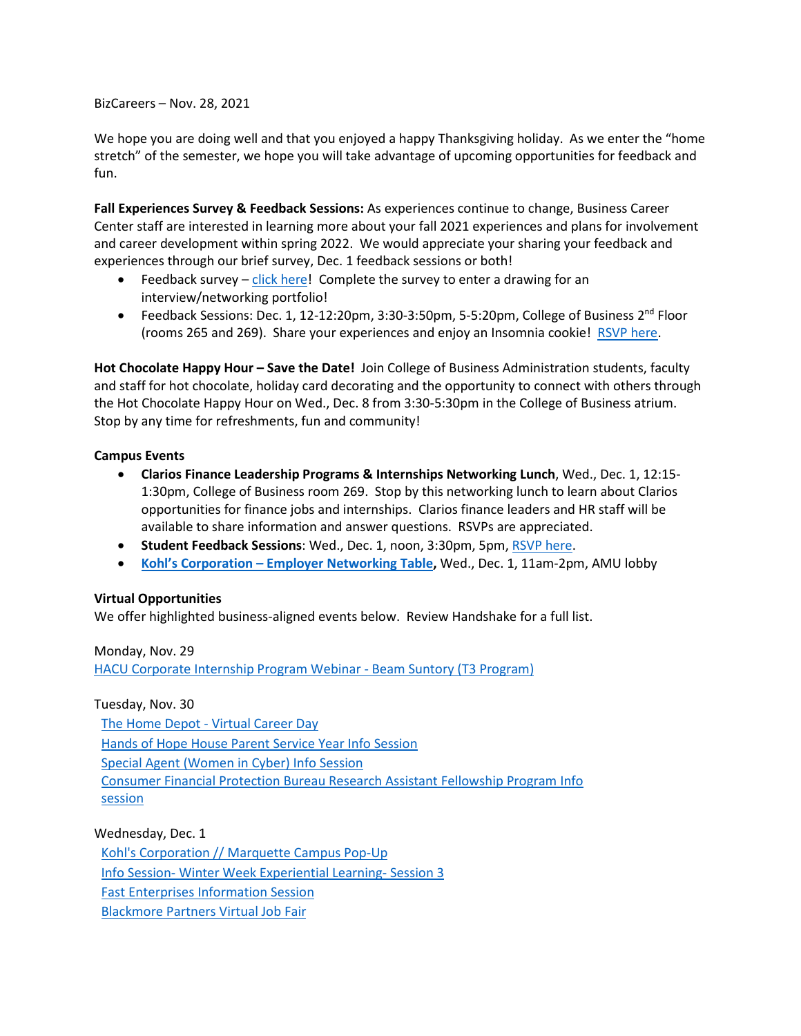BizCareers – Nov. 28, 2021

We hope you are doing well and that you enjoyed a happy Thanksgiving holiday. As we enter the "home stretch" of the semester, we hope you will take advantage of upcoming opportunities for feedback and fun.

**Fall Experiences Survey & Feedback Sessions:** As experiences continue to change, Business Career Center staff are interested in learning more about your fall 2021 experiences and plans for involvement and career development within spring 2022. We would appreciate your sharing your feedback and experiences through our brief survey, Dec. 1 feedback sessions or both!

- Feedback survey  $-\text{click}$  here! Complete the survey to enter a drawing for an interview/networking portfolio!
- Feedback Sessions: Dec. 1, 12-12:20pm, 3:30-3:50pm, 5-5:20pm, College of Business  $2^{nd}$  Floor (rooms 265 and 269). Share your experiences and enjoy an Insomnia cookie! [RSVP here.](https://www.signupgenius.com/go/10c044fada92ba5f85-student2)

**Hot Chocolate Happy Hour – Save the Date!** Join College of Business Administration students, faculty and staff for hot chocolate, holiday card decorating and the opportunity to connect with others through the Hot Chocolate Happy Hour on Wed., Dec. 8 from 3:30-5:30pm in the College of Business atrium. Stop by any time for refreshments, fun and community!

## **Campus Events**

- **Clarios Finance Leadership Programs & Internships Networking Lunch**, Wed., Dec. 1, 12:15- 1:30pm, College of Business room 269. Stop by this networking lunch to learn about Clarios opportunities for finance jobs and internships. Clarios finance leaders and HR staff will be available to share information and answer questions. RSVPs are appreciated.
- **Student Feedback Sessions: Wed., Dec. 1, noon, 3:30pm, 5pm[, RSVP here.](https://www.signupgenius.com/go/10c044fada92ba5f85-student2)**
- **Kohl's Corporation – [Employer Networking Table,](https://marquette.joinhandshake.com/events/901234/share_preview)** Wed., Dec. 1, 11am-2pm, AMU lobby

## **Virtual Opportunities**

We offer highlighted business-aligned events below. Review Handshake for a full list.

Monday, Nov. 29

[HACU Corporate Internship Program Webinar -](https://marquette.joinhandshake.com/events/908966/share_preview) Beam Suntory (T3 Program)

## Tuesday, Nov. 30

[The Home Depot -](https://marquette.joinhandshake.com/events/910629/share_preview) Virtual Career Day [Hands of Hope House Parent Service Year Info Session](https://marquette.joinhandshake.com/events/909171/share_preview) [Special Agent \(Women in Cyber\) Info Session](https://marquette.joinhandshake.com/events/898853/share_preview) [Consumer Financial Protection Bureau Research Assistant Fellowship Program Info](https://marquette.joinhandshake.com/events/891342/share_preview)  [session](https://marquette.joinhandshake.com/events/891342/share_preview)

## Wednesday, Dec. 1

[Kohl's Corporation // Marquette Campus Pop-Up](https://marquette.joinhandshake.com/events/901234/share_preview) Info Session- [Winter Week Experiential Learning-](https://marquette.joinhandshake.com/events/900338/share_preview) Session 3 [Fast Enterprises Information Session](https://marquette.joinhandshake.com/events/892097/share_preview) [Blackmore Partners Virtual Job Fair](https://marquette.joinhandshake.com/events/887324/share_preview)